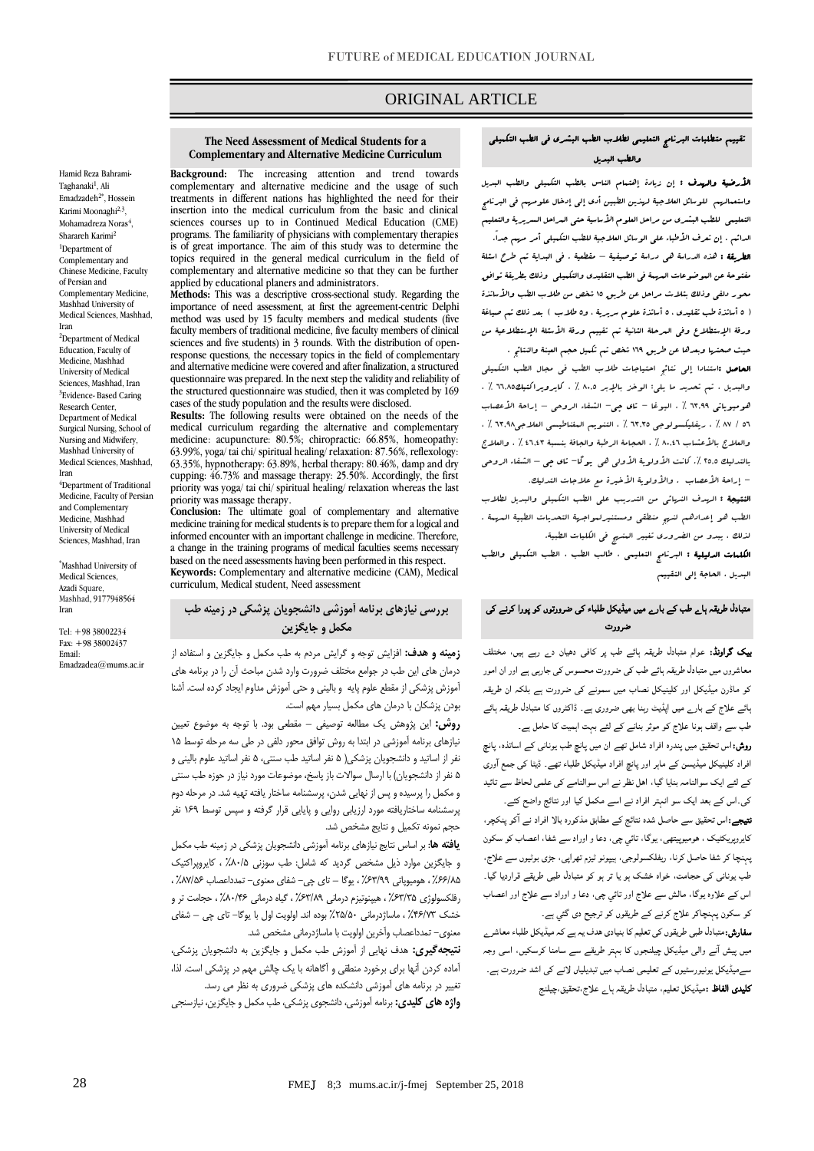# ORIGINAL ARTICLE

#### **The Need Assessment of Medical Students for a Complementary and Alternative Medicine Curriculum**

Hamid Reza Bahrami-Taghanaki<sup>1</sup>, Ali Emadzadeh<sup>2\*</sup>, Hossein Karimi Moonaghi<sup>2,3</sup>, Mohamadreza Noras<sup>4</sup>, Sharareh Karimi<sup>2</sup> <sup>1</sup>Department of Complementary and Chinese Medicine, Faculty of Persian and Complementary Medicine, Mashhad University of Medical Sciences, Mashhad, Iran <sup>2</sup>Department of Medical Education, Faculty of Medicine, Mashhad University of Medical Sciences, Mashhad, Iran <sup>3</sup>Evidence- Based Caring Research Center, Department of Medical Surgical Nursing, School of Nursing and Midwifery, Mashhad University of Medical Sciences, Mashhad, Iran <sup>4</sup>Department of Traditional

Medicine, Faculty of Persian and Complementary Medicine, Mashhad University of Medical Sciences, Mashhad, Iran

\*Mashhad University of Medical Sciences, Azadi Square, Mashhad, 9177948564 Iran

[Tel: +98](tel:+98) 38002234 Fax: +98 38002437 Email: Emadzadea@mums.ac.ir **Background:** The increasing attention and trend towards complementary and alternative medicine and the usage of such treatments in different nations has highlighted the need for their insertion into the medical curriculum from the basic and clinical sciences courses up to in Continued Medical Education (CME) programs. The familiarity of physicians with complementary therapies is of great importance. The aim of this study was to determine the topics required in the general medical curriculum in the field of complementary and alternative medicine so that they can be further applied by educational planers and administrators.

**Methods:** This was a descriptive cross-sectional study. Regarding the importance of need assessment, at first the agreement-centric Delphi method was used by 15 faculty members and medical students (five faculty members of traditional medicine, five faculty members of clinical sciences and five students) in 3 rounds. With the distribution of openresponse questions, the necessary topics in the field of complementary and alternative medicine were covered and after finalization, a structured questionnaire was prepared. In the next step the validity and reliability of the structured questionnaire was studied, then it was completed by 169 cases of the study population and the results were disclosed.

**Results:** The following results were obtained on the needs of the medical curriculum regarding the alternative and complementary medicine: acupuncture: 80.5%; chiropractic: 66.85%, homeopathy: 63.99%, yoga/ tai chi/ spiritual healing/ relaxation: 87.56%, reflexology: 63.35%, hypnotherapy: 63.89%, herbal therapy: 80.46%, damp and dry cupping: 46.73% and massage therapy: 25.50%. Accordingly, the first priority was yoga/ tai chi/ spiritual healing/ relaxation whereas the last priority was massage therapy.

**Conclusion:** The ultimate goal of complementary and alternative medicine training for medical students is to prepare them for a logical and informed encounter with an important challenge in medicine. Therefore, a change in the training programs of medical faculties seems necessary based on the need assessments having been performed in this respect. **Keywords:** Complementary and alternative medicine (CAM), Medical curriculum, Medical student, Need assessment

## **بررسی نیازهاي برنامه آموزشی دانشجویان پزشکی در زمینه طب مکمل و جایگزین**

**زمینه و هدف:** افزایش توجه و گرایش مردم به طب مکمل و جایگزین و استفاده از درمان های این طب در جوامع مختلف ضرورت وارد شدن مباحث آن را در برنامه های آموزش پزشکی از مقطع علوم پایه و بالینی و حتی آموزش مداوم ایجاد کرده است. آشنا بودن پزشکان با درمان های مکمل بسیار مهم است.

**روش:** این پژوهش یک مطالعه توصیفی – مقطعی بود. با توجه به موضوع تعیین نیازهای برنامه آموزشی در ابتدا به روش توافق محور دلفی در طی سه مرحله توسط 15 نفر از اساتید و دانشجویان پزشکی) 5 نفر اساتید طب سنتی، 5 نفر اساتید علوم بالینی و ۵ نفر از دانشجویان) با ارسال سوالات باز پاسخ، موضوعات مورد نیاز در حوزه طب سنتی و مکمل را پرسیده و پس از نهایی شدن، پرسشنامه ساختار یافته تهیه شد. در مرحله دوم پرسشنامه ساختاریافته مورد ارزیابی روایی و پایایی قرار گرفته و سپس توسط 169 نفر حجم نمونه تکمیل و نتایج مشخص شد.

**یافته ها**: بر اساس نتایج نیازهای برنامه آموزشی دانشجویان پزشکی در زمینه طب مکمل و جایگزین موارد ذیل مشخص گردید که شامل: طب سوزنی %80/5 ، کایروپراکتیک %66/85 ، هومیوپاتی %63/99 ، یوگا – تای چی- شفای معنوی- تمدداعصاب %87/56 ، رفلکسولوژی %63/35 ، هیپنوتیزم درمانی %63/89 ، گیاه درمانی %80/46 ، حجامت تر و خشک %46/73 ، ماساژدرمانی %25/50 بوده اند. اولویت اول با یوگا- تای چی – شفای معنوی- تمدداعصاب وآخرین اولویت با ماساژدرمانی مشخص شد.

**نتیجهگیري:** هدف نهایی از آموزش طب مکمل و جایگزین به دانشجویان پزشکی، آماده کردن آنها برای برخورد منطقی و آگاهانه با یک چالش مهم در پزشکی است. لذا، تغییر در برنامه های آموزشی دانشکده های پزشکی ضروری به نظر می رسد.

**واژه هاي كلیدي:** برنامه آموزشی، دانشجوی پزشکی، طب مکمل و جایگزین، نیازسنجی

### تقييم متطلبات البرنامج التعليمي لطالب الطب البشري في الطب التكميلي والطب البديل

ص

األرضية والهدف : إن زيادة إهتمام الناس بالطب التكميلي والطب البديل واستعمالهم للوسائل العالجية لهذين الطبين أدى إلى إدخال علومهم في البرنامج التعليمي للطب البشري من مراحل العلوم األساسية حتى المراحل السريرية والتعليم الدائم . إن تعرف الأطباء على الوسائل العلاجية للطب التكميلي أمر مرسم جداً. الطريقة : هذه الدراسة هي دراسة توصيفية – مقطعية . في البداية تم طرح اسئلة مفتوحة عن الموضوعات المهمة في الطب التقليدي والتكميلي وذلك بطريقة توافق محور دلفي وذلك بثالث مراحل عن طريق 51 شخص من طالب الطب واألساتذة ) 1 أساتذة طب تقليدي ، 1 أساتذة علوم سريرية ، و1طالب ( بعد ذلك تم صياغة ورقة الإستطلاع وفي الىرحلة الثانية تم تقييم ورقة الأسئلة الإستطلاعية من حيث صحتها وبعدها عن طريق 561 شخص تم تكميل حجم العينة والنتائج . الحاصل :استنادا إلى نتائج احتياجات طالب الطب في مجال الطب التكميلي والبديل ، تم تحديد ما يلي: الوخز باإلبر 5.01 ٪ ، کايروپراکتيك66051 ٪ ، هوميوپاتي ٦٣.٩٩ ٪ ، اليوغا – تاي چي– الشفاء الروحي – إراحة الأعصاب 16 / 58 ٪ ، ريفليكسولوجي 69091 ٪ ، التنويم المغناطيسي العالجي69015 ٪ ، والعلاج بالأعشاب ٨٠.٤٦ ٪ ، الحجامة الرطبة والجافة بنسبة ٤٦.٤٣ ٪ ، والعلاج بالتدليك 5101 .٪ کانت األولوية األولى هي يوگا- تاي چي – الشفاء الروحي - إراحة الأعصاب . والأولوية الأخيرة مع علاجات التدليك.

النتيجة : الهدف النهائي من التدريب على الطب التكميلي والبديل لطالب الطب هو إعدادهم لنهج منطقي ومستنيرلمواجهة التحديات الطبية المهمة . لذلك ، يبدو من الضروري تغيير المنهج في الكليات الطبية.

الكلمات الدليلية : البرنامج التعليمي ، طالب الطب ، الطب التكميلي والطب البديل ، الحاجة إلى التقييم

# متبادل طریقہ ہاے طب کے بارے میں میڈیکل طلباء کی ضرورتوں کو پورا کرنے کی ضرورت

بیک گراونڈ: عوام متبادل طریقہ ہائے طب پر کافی دھیان دے رہے ہیں، مختلف معاشروں میں متبادل طریقہ ہائے طب کی ضرورت محسوس کی جارہی ہے اور ان امور کو ماڈرن میڈیکل اور کلینیکل نصاب میں سمونے کی ضرورت ہے بلکہ ان طریقہ ہائے علاج کے بارے میں اپڈیٹ رہنا بھی ضروری ہے۔ ڈاکٹروں کا متبادل طریقہ ہائے طب سے واقف ہونا علاج کو موثر بنانے کے لئے بہت اہمیت کا حامل ہے۔ روش:اس تحقیق میں پندرہ افراد شامل تھے ان میں پانچ طب یونانی کے اساتذہ، پانچ افراد کلینیکل میڈیسن کے ماہر اور پانچ افراد میڈیکل طلباء تھے۔ ڈیٹا کی جمع ا وری کے لئے ایک سوالنامہ بنایا گیا، اھل نظر نے اس سوالنامے کی علمی لحاظ سے تائيد کی۔اس کے بعد ایک سو انہتر افراد نے اسے مکمل کیا اور نتائج واضح کئے۔ نتیجے:اس تحقیق سے حاصل شدہ نتائج کے مطابق مذکورہ بالا افراد نے ا کو پنکچر،

کایروپریکٹیک ، ھومیوپیتھی، یوگا، تائي چی، دعا و اوراد سے شفا، اعصاب کو سکون پہنچا کر شفا حاصل کرنا، ریفلکسولوجی، ہیپونو ٹیزم تھراپی، جڑی بوٹیوں سے علاج، طب یونانی کی حجامت، خواہ خشک ہو یا تر ہو کو متبادل طبی طریقے قراردیا گیا۔ اس کے علاوہ یوگا، مالش سے علاج اور تائي چی، دعا و اوراد سے علاج اور اعصاب کو سکون پہنچاکر علاج کرنے کے طریقوں کو ترجیح دی گئي ہے۔

**سفارش:**متبادل طبی طریقوں کی تعلیم کا بنیادی ھدف یہ ہے کہ میڈیکل طلباء معاشر<sub>ے</sub> میں پیش ا نے والی میڈیکل چیلنجوں کا بہتر طریقے سے سامنا کرسکیں، اسی وجہ سےمیڈیکل یونیورسٹیوں کے تعلیمی نصاب میں تبدیلیاں لانے کی اشد ضرورت ہے۔ کلیدی الفاظ :میڈیکل تعلیم، متبادل طریقہ ہاے علاج،تحقیق،چیلنج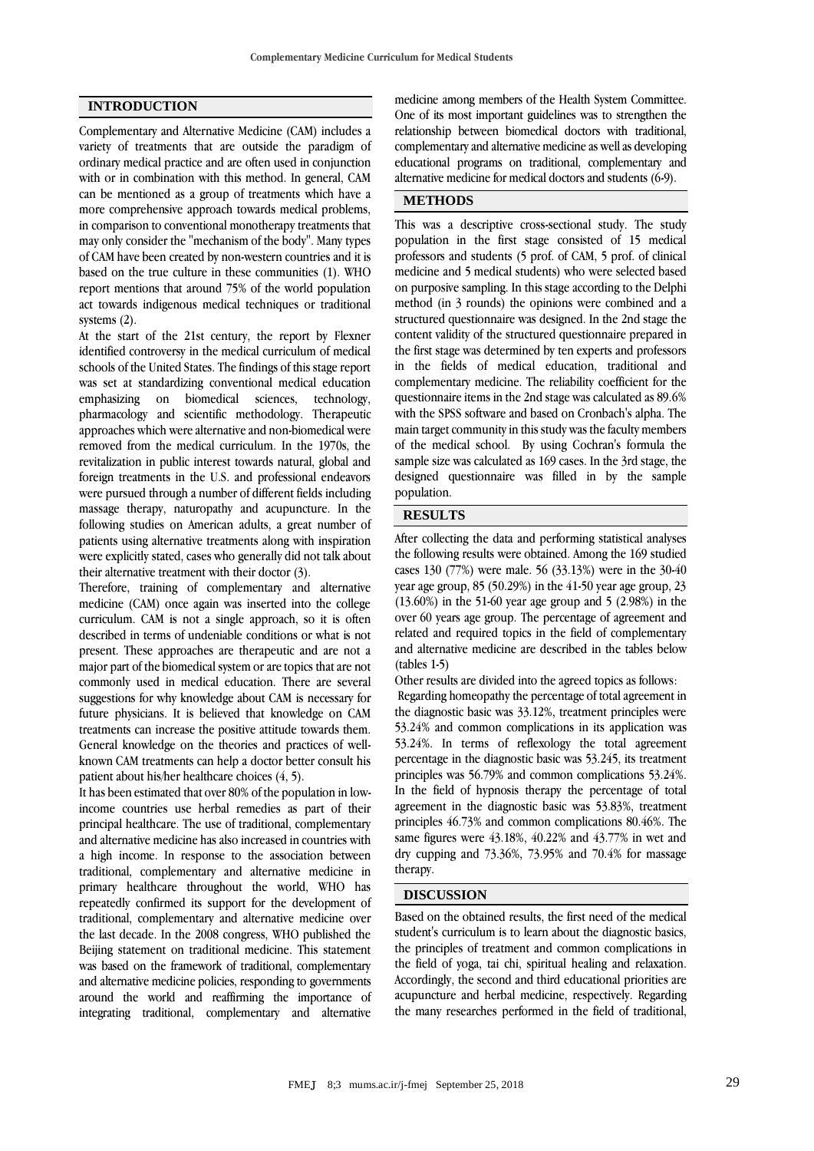### **INTRODUCTION**

Complementary and Alternative Medicine (CAM) includes a variety of treatments that are outside the paradigm of ordinary medical practice and are often used in conjunction with or in combination with this method. In general, CAM can be mentioned as a group of treatments which have a more comprehensive approach towards medical problems, in comparison to conventional monotherapy treatments that may only consider the "mechanism of the body". Many types of CAM have been created by non-western countries and it is based on the true culture in these communities (1). WHO report mentions that around 75% of the world population act towards indigenous medical techniques or traditional systems (2).

At the start of the 21st century, the report by Flexner identified controversy in the medical curriculum of medical schools of the United States. The findings of this stage report was set at standardizing conventional medical education emphasizing on biomedical sciences, technology, pharmacology and scientific methodology. Therapeutic approaches which were alternative and non-biomedical were removed from the medical curriculum. In the 1970s, the revitalization in public interest towards natural, global and foreign treatments in the U.S. and professional endeavors were pursued through a number of different fields including massage therapy, naturopathy and acupuncture. In the following studies on American adults, a great number of patients using alternative treatments along with inspiration were explicitly stated, cases who generally did not talk about their alternative treatment with their doctor (3).

Therefore, training of complementary and alternative medicine (CAM) once again was inserted into the college curriculum. CAM is not a single approach, so it is often described in terms of undeniable conditions or what is not present. These approaches are therapeutic and are not a major part of the biomedical system or are topics that are not commonly used in medical education. There are several suggestions for why knowledge about CAM is necessary for future physicians. It is believed that knowledge on CAM treatments can increase the positive attitude towards them. General knowledge on the theories and practices of wellknown CAM treatments can help a doctor better consult his patient about his/her healthcare choices (4, 5).

It has been estimated that over 80% of the population in lowincome countries use herbal remedies as part of their principal healthcare. The use of traditional, complementary and alternative medicine has also increased in countries with a high income. In response to the association between traditional, complementary and alternative medicine in primary healthcare throughout the world, WHO has repeatedly confirmed its support for the development of traditional, complementary and alternative medicine over the last decade. In the 2008 congress, WHO published the Beijing statement on traditional medicine. This statement was based on the framework of traditional, complementary and alternative medicine policies, responding to governments around the world and reaffirming the importance of integrating traditional, complementary and alternative

medicine among members of the Health System Committee. One of its most important guidelines was to strengthen the relationship between biomedical doctors with traditional, complementary and alternative medicine as well as developing educational programs on traditional, complementary and alternative medicine for medical doctors and students (6-9).

## **METHODS**

This was a descriptive cross-sectional study. The study population in the first stage consisted of 15 medical professors and students (5 prof. of CAM, 5 prof. of clinical medicine and 5 medical students) who were selected based on purposive sampling. In this stage according to the Delphi method (in 3 rounds) the opinions were combined and a structured questionnaire was designed. In the 2nd stage the content validity of the structured questionnaire prepared in the first stage was determined by ten experts and professors in the fields of medical education, traditional and complementary medicine. The reliability coefficient for the questionnaire items in the 2nd stage was calculated as 89.6% with the SPSS software and based on Cronbach's alpha. The main target community in this study was the faculty members of the medical school. By using Cochran's formula the sample size was calculated as 169 cases. In the 3rd stage, the designed questionnaire was filled in by the sample population.

# **RESULTS**

After collecting the data and performing statistical analyses the following results were obtained. Among the 169 studied cases 130 (77%) were male. 56 (33.13%) were in the 30-40 year age group, 85 (50.29%) in the 41-50 year age group, 23 (13.60%) in the 51-60 year age group and 5 (2.98%) in the over 60 years age group. The percentage of agreement and related and required topics in the field of complementary and alternative medicine are described in the tables below (tables 1-5)

Other results are divided into the agreed topics as follows: Regarding homeopathy the percentage of total agreement in the diagnostic basic was 33.12%, treatment principles were 53.24% and common complications in its application was 53.24%. In terms of reflexology the total agreement percentage in the diagnostic basic was 53.245, its treatment principles was 56.79% and common complications 53.24%. In the field of hypnosis therapy the percentage of total agreement in the diagnostic basic was 53.83%, treatment principles 46.73% and common complications 80.46%. The same figures were 43.18%, 40.22% and 43.77% in wet and dry cupping and 73.36%, 73.95% and 70.4% for massage therapy.

### **DISCUSSION**

Based on the obtained results, the first need of the medical student's curriculum is to learn about the diagnostic basics, the principles of treatment and common complications in the field of yoga, tai chi, spiritual healing and relaxation. Accordingly, the second and third educational priorities are acupuncture and herbal medicine, respectively. Regarding the many researches performed in the field of traditional,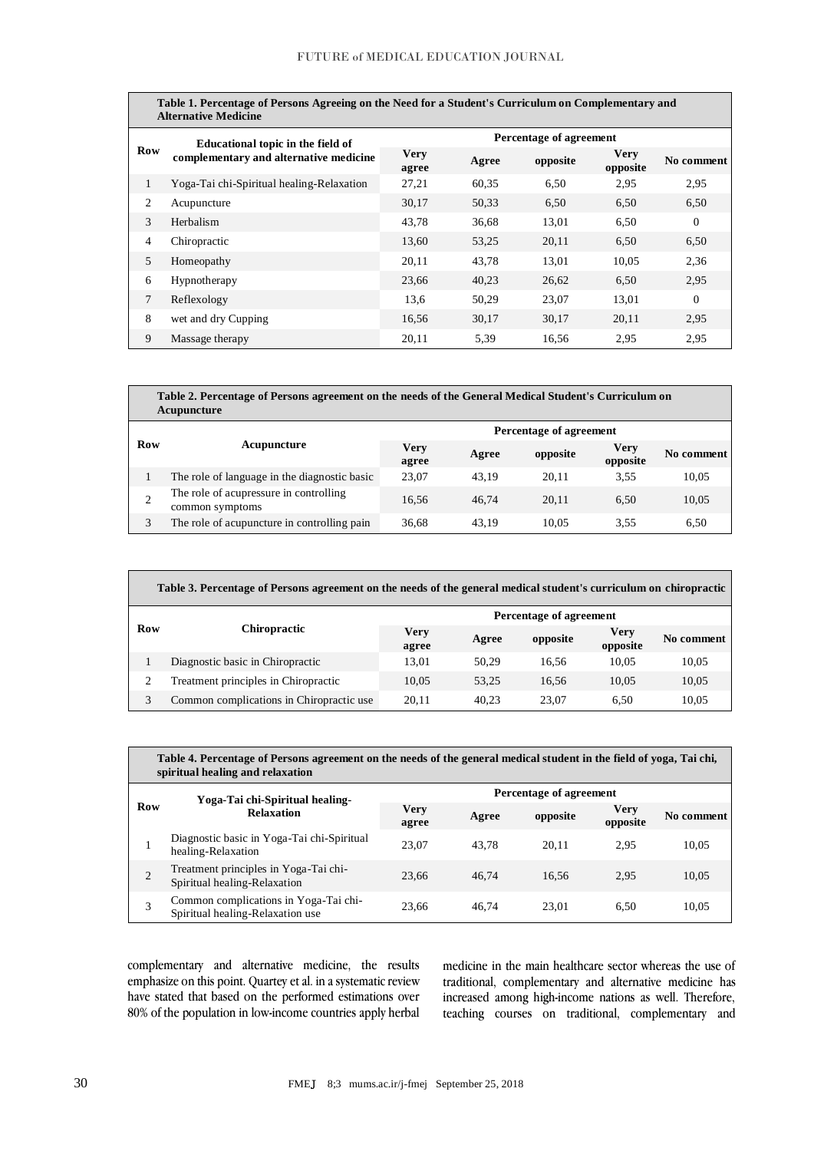| Table 1. Percentage of Persons Agreeing on the Need for a Student's Curriculum on Complementary and<br><b>Alternative Medicine</b> |                                                                             |                         |       |          |                         |                |
|------------------------------------------------------------------------------------------------------------------------------------|-----------------------------------------------------------------------------|-------------------------|-------|----------|-------------------------|----------------|
| <b>Row</b>                                                                                                                         | Educational topic in the field of<br>complementary and alternative medicine | Percentage of agreement |       |          |                         |                |
|                                                                                                                                    |                                                                             | <b>Very</b><br>agree    | Agree | opposite | <b>Very</b><br>opposite | No comment     |
| 1                                                                                                                                  | Yoga-Tai chi-Spiritual healing-Relaxation                                   | 27,21                   | 60,35 | 6,50     | 2,95                    | 2,95           |
| 2                                                                                                                                  | Acupuncture                                                                 | 30,17                   | 50,33 | 6,50     | 6,50                    | 6,50           |
| 3                                                                                                                                  | Herbalism                                                                   | 43.78                   | 36.68 | 13.01    | 6.50                    | $\overline{0}$ |
| 4                                                                                                                                  | Chiropractic                                                                | 13,60                   | 53,25 | 20,11    | 6,50                    | 6,50           |
| 5                                                                                                                                  | Homeopathy                                                                  | 20,11                   | 43,78 | 13,01    | 10,05                   | 2,36           |
| 6                                                                                                                                  | Hypnotherapy                                                                | 23,66                   | 40,23 | 26.62    | 6.50                    | 2,95           |
| 7                                                                                                                                  | Reflexology                                                                 | 13,6                    | 50,29 | 23,07    | 13,01                   | $\Omega$       |
| 8                                                                                                                                  | wet and dry Cupping                                                         | 16,56                   | 30,17 | 30.17    | 20,11                   | 2,95           |
| 9                                                                                                                                  | Massage therapy                                                             | 20,11                   | 5,39  | 16,56    | 2,95                    | 2,95           |

| Table 2. Percentage of Persons agreement on the needs of the General Medical Student's Curriculum on<br>Acupuncture |                                                           |                         |       |          |                  |            |
|---------------------------------------------------------------------------------------------------------------------|-----------------------------------------------------------|-------------------------|-------|----------|------------------|------------|
|                                                                                                                     | Acupuncture                                               | Percentage of agreement |       |          |                  |            |
| Row                                                                                                                 |                                                           | <b>Very</b><br>agree    | Agree | opposite | Very<br>opposite | No comment |
|                                                                                                                     | The role of language in the diagnostic basic              | 23.07                   | 43.19 | 20.11    | 3.55             | 10,05      |
|                                                                                                                     | The role of acupressure in controlling<br>common symptoms | 16.56                   | 46.74 | 20.11    | 6.50             | 10,05      |
|                                                                                                                     | The role of acupuncture in controlling pain               | 36.68                   | 43.19 | 10.05    | 3.55             | 6.50       |

| Table 3. Percentage of Persons agreement on the needs of the general medical student's curriculum on chiropractic |                                          |                         |       |          |                  |            |
|-------------------------------------------------------------------------------------------------------------------|------------------------------------------|-------------------------|-------|----------|------------------|------------|
|                                                                                                                   | <b>Chiropractic</b>                      | Percentage of agreement |       |          |                  |            |
| Row                                                                                                               |                                          | <b>Very</b><br>agree    | Agree | opposite | Verv<br>opposite | No comment |
|                                                                                                                   | Diagnostic basic in Chiropractic         | 13.01                   | 50.29 | 16.56    | 10.05            | 10,05      |
| 2                                                                                                                 | Treatment principles in Chiropractic     | 10.05                   | 53.25 | 16.56    | 10.05            | 10,05      |
| 3                                                                                                                 | Common complications in Chiropractic use | 20.11                   | 40.23 | 23.07    | 6.50             | 10.05      |

| Table 4. Percentage of Persons agreement on the needs of the general medical student in the field of yoga, Tai chi,<br>spiritual healing and relaxation |                                                                           |                         |       |          |                         |            |  |
|---------------------------------------------------------------------------------------------------------------------------------------------------------|---------------------------------------------------------------------------|-------------------------|-------|----------|-------------------------|------------|--|
| Row                                                                                                                                                     | Yoga-Tai chi-Spiritual healing-<br><b>Relaxation</b>                      | Percentage of agreement |       |          |                         |            |  |
|                                                                                                                                                         |                                                                           | <b>Very</b><br>agree    | Agree | opposite | <b>Very</b><br>opposite | No comment |  |
|                                                                                                                                                         | Diagnostic basic in Yoga-Tai chi-Spiritual<br>healing-Relaxation          | 23,07                   | 43.78 | 20.11    | 2.95                    | 10,05      |  |
| 2                                                                                                                                                       | Treatment principles in Yoga-Tai chi-<br>Spiritual healing-Relaxation     | 23.66                   | 46.74 | 16.56    | 2.95                    | 10,05      |  |
|                                                                                                                                                         | Common complications in Yoga-Tai chi-<br>Spiritual healing-Relaxation use | 23.66                   | 46.74 | 23.01    | 6.50                    | 10,05      |  |

complementary and alternative medicine, the results emphasize on this point. Quartey et al. in a systematic review have stated that based on the performed estimations over 80% of the population in low-income countries apply herbal

medicine in the main healthcare sector whereas the use of traditional, complementary and alternative medicine has increased among high-income nations as well. Therefore, teaching courses on traditional, complementary and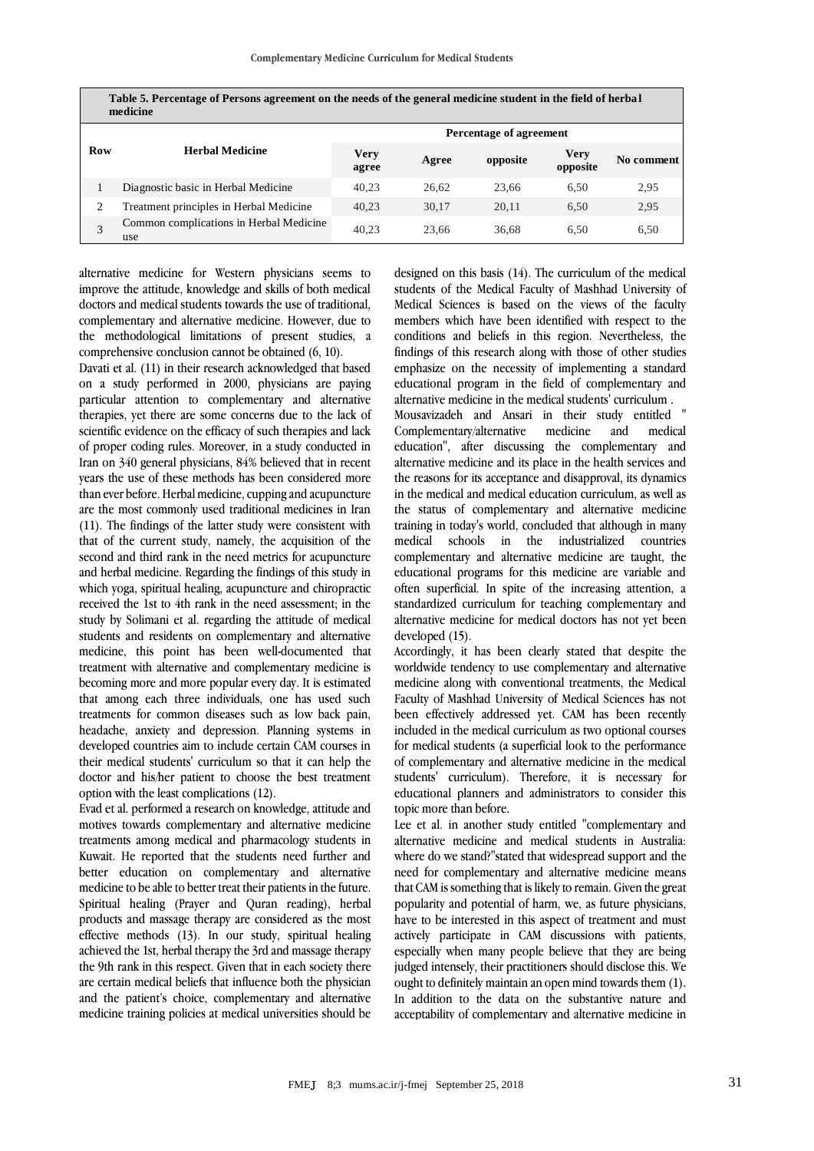| Table 5. Percentage of Persons agreement on the needs of the general medicine student in the field of herbal<br>medicine |                                                |                         |       |          |                         |            |
|--------------------------------------------------------------------------------------------------------------------------|------------------------------------------------|-------------------------|-------|----------|-------------------------|------------|
|                                                                                                                          |                                                | Percentage of agreement |       |          |                         |            |
| <b>Row</b>                                                                                                               | <b>Herbal Medicine</b>                         | <b>Very</b><br>agree    | Agree | opposite | <b>Very</b><br>opposite | No comment |
|                                                                                                                          | Diagnostic basic in Herbal Medicine            | 40.23                   | 26.62 | 23.66    | 6.50                    | 2,95       |
| 2                                                                                                                        | Treatment principles in Herbal Medicine        | 40.23                   | 30.17 | 20.11    | 6.50                    | 2,95       |
| 3                                                                                                                        | Common complications in Herbal Medicine<br>use | 40.23                   | 23.66 | 36.68    | 6.50                    | 6.50       |

**Table 5. Percentage of Persons agreement on the needs of the general medicine student in the field of herba l** 

alternative medicine for Western physicians seems to improve the attitude, knowledge and skills of both medical doctors and medical students towards the use of traditional, complementary and alternative medicine. However, due to the methodological limitations of present studies, a comprehensive conclusion cannot be obtained (6, 10).

Davati et al. (11) in their research acknowledged that based on a study performed in 2000, physicians are paying particular attention to complementary and alternative therapies, yet there are some concerns due to the lack of scientific evidence on the efficacy of such therapies and lack of proper coding rules. Moreover, in a study conducted in Iran on 340 general physicians, 84% believed that in recent years the use of these methods has been considered more than ever before. Herbal medicine, cupping and acupuncture are the most commonly used traditional medicines in Iran (11). The findings of the latter study were consistent with that of the current study, namely, the acquisition of the second and third rank in the need metrics for acupuncture and herbal medicine. Regarding the findings of this study in which yoga, spiritual healing, acupuncture and chiropractic received the 1st to 4th rank in the need assessment; in the study by Solimani et al. regarding the attitude of medical students and residents on complementary and alternative medicine, this point has been well-documented that treatment with alternative and complementary medicine is becoming more and more popular every day. It is estimated that among each three individuals, one has used such treatments for common diseases such as low back pain, headache, anxiety and depression. Planning systems in developed countries aim to include certain CAM courses in their medical students' curriculum so that it can help the doctor and his/her patient to choose the best treatment option with the least complications (12).

Evad et al. performed a research on knowledge, attitude and motives towards complementary and alternative medicine treatments among medical and pharmacology students in Kuwait. He reported that the students need further and better education on complementary and alternative medicine to be able to better treat their patients in the future. Spiritual healing (Prayer and Quran reading), herbal products and massage therapy are considered as the most effective methods (13). In our study, spiritual healing achieved the 1st, herbal therapy the 3rd and massage therapy the 9th rank in this respect. Given that in each society there are certain medical beliefs that influence both the physician and the patient's choice, complementary and alternative medicine training policies at medical universities should be

designed on this basis (14). The curriculum of the medical students of the Medical Faculty of Mashhad University of Medical Sciences is based on the views of the faculty members which have been identified with respect to the conditions and beliefs in this region. Nevertheless, the findings of this research along with those of other studies emphasize on the necessity of implementing a standard educational program in the field of complementary and alternative medicine in the medical students' curriculum .

Mousavizadeh and Ansari in their study entitled " Complementary/alternative medicine and medical education", after discussing the complementary and alternative medicine and its place in the health services and the reasons for its acceptance and disapproval, its dynamics in the medical and medical education curriculum, as well as the status of complementary and alternative medicine training in today's world, concluded that although in many medical schools in the industrialized countries complementary and alternative medicine are taught, the educational programs for this medicine are variable and often superficial. In spite of the increasing attention, a standardized curriculum for teaching complementary and alternative medicine for medical doctors has not yet been developed (15).

Accordingly, it has been clearly stated that despite the worldwide tendency to use complementary and alternative medicine along with conventional treatments, the Medical Faculty of Mashhad University of Medical Sciences has not been effectively addressed yet. CAM has been recently included in the medical curriculum as two optional courses for medical students (a superficial look to the performance of complementary and alternative medicine in the medical students' curriculum). Therefore, it is necessary for educational planners and administrators to consider this topic more than before.

Lee et al. in another study entitled "complementary and alternative medicine and medical students in Australia: where do we stand?"stated that widespread support and the need for complementary and alternative medicine means that CAM is something that is likely to remain. Given the great popularity and potential of harm, we, as future physicians, have to be interested in this aspect of treatment and must actively participate in CAM discussions with patients, especially when many people believe that they are being judged intensely, their practitioners should disclose this. We ought to definitely maintain an open mind towards them (1). In addition to the data on the substantive nature and acceptability of complementary and alternative medicine in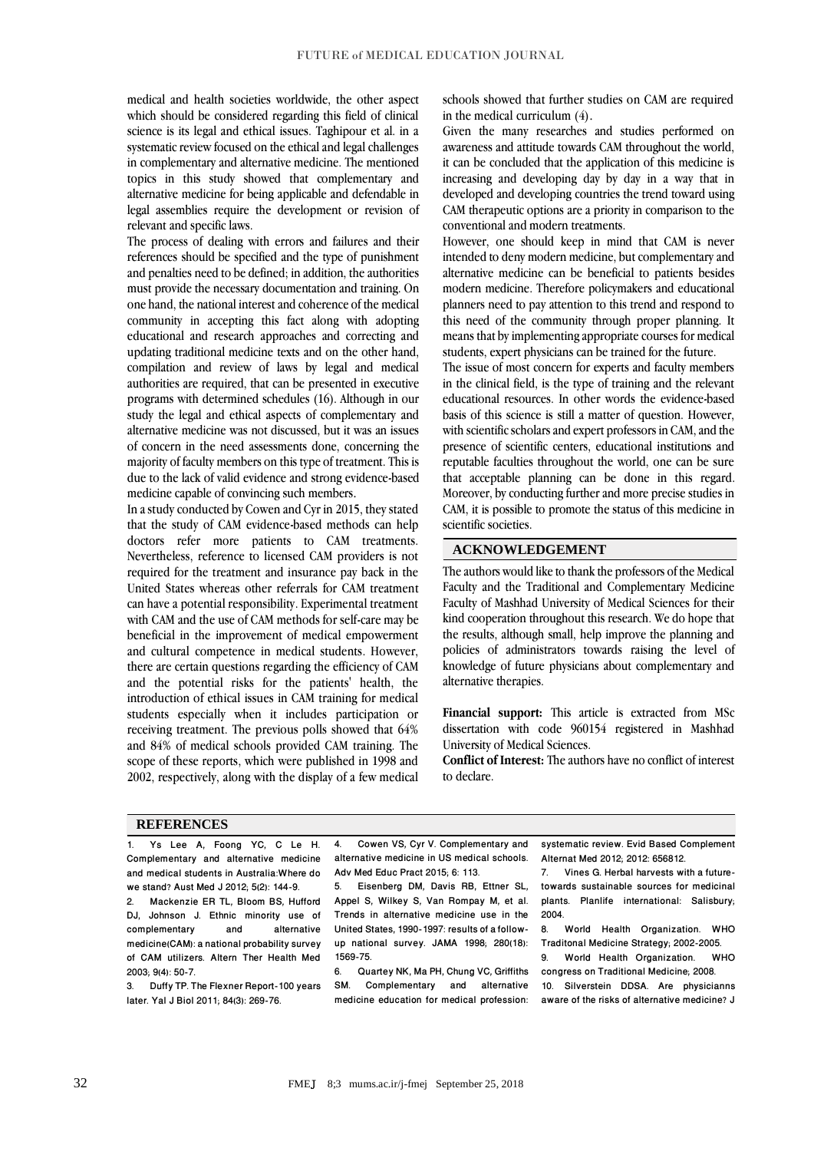medical and health societies worldwide, the other aspect which should be considered regarding this field of clinical science is its legal and ethical issues. Taghipour et al. in a systematic review focused on the ethical and legal challenges in complementary and alternative medicine. The mentioned topics in this study showed that complementary and alternative medicine for being applicable and defendable in legal assemblies require the development or revision of relevant and specific laws.

The process of dealing with errors and failures and their references should be specified and the type of punishment and penalties need to be defined; in addition, the authorities must provide the necessary documentation and training. On one hand, the national interest and coherence of the medical community in accepting this fact along with adopting educational and research approaches and correcting and updating traditional medicine texts and on the other hand, compilation and review of laws by legal and medical authorities are required, that can be presented in executive programs with determined schedules (16). Although in our study the legal and ethical aspects of complementary and alternative medicine was not discussed, but it was an issues of concern in the need assessments done, concerning the majority of faculty members on this type of treatment. This is due to the lack of valid evidence and strong evidence-based medicine capable of convincing such members.

In a study conducted by Cowen and Cyr in 2015, they stated that the study of CAM evidence-based methods can help doctors refer more patients to CAM treatments. Nevertheless, reference to licensed CAM providers is not required for the treatment and insurance pay back in the United States whereas other referrals for CAM treatment can have a potential responsibility. Experimental treatment with CAM and the use of CAM methods for self-care may be beneficial in the improvement of medical empowerment and cultural competence in medical students. However, there are certain questions regarding the efficiency of CAM and the potential risks for the patients' health, the introduction of ethical issues in CAM training for medical students especially when it includes participation or receiving treatment. The previous polls showed that 64% and 84% of medical schools provided CAM training. The scope of these reports, which were published in 1998 and 2002, respectively, along with the display of a few medical

schools showed that further studies on CAM are required in the medical curriculum (4).

Given the many researches and studies performed on awareness and attitude towards CAM throughout the world, it can be concluded that the application of this medicine is increasing and developing day by day in a way that in developed and developing countries the trend toward using CAM therapeutic options are a priority in comparison to the conventional and modern treatments.

However, one should keep in mind that CAM is never intended to deny modern medicine, but complementary and alternative medicine can be beneficial to patients besides modern medicine. Therefore policymakers and educational planners need to pay attention to this trend and respond to this need of the community through proper planning. It means that by implementing appropriate courses for medical students, expert physicians can be trained for the future.

The issue of most concern for experts and faculty members in the clinical field, is the type of training and the relevant educational resources. In other words the evidence-based basis of this science is still a matter of question. However, with scientific scholars and expert professors in CAM, and the presence of scientific centers, educational institutions and reputable faculties throughout the world, one can be sure that acceptable planning can be done in this regard. Moreover, by conducting further and more precise studies in CAM, it is possible to promote the status of this medicine in scientific societies.

### **ACKNOWLEDGEMENT**

The authors would like to thank the professors of the Medical Faculty and the Traditional and Complementary Medicine Faculty of Mashhad University of Medical Sciences for their kind cooperation throughout this research. We do hope that the results, although small, help improve the planning and policies of administrators towards raising the level of knowledge of future physicians about complementary and alternative therapies.

**Financial support:** This article is extracted from MSc dissertation with code 960154 registered in Mashhad University of Medical Sciences.

**Conflict of Interest:** The authors have no conflict of interest to declare.

#### **REFERENCES**

1. Ys Lee A, Foong YC, C Le H. Complementary and alternative medicine and medical students in Australia:Where do we stand? Aust Med J 2012; 5(2): 144-9.<br>2. Mackenzie ER TL. Bloom BS. Hu

2. Mackenzie ER TL, Bloom BS, Hufford DJ, Johnson J. Ethnic minority use of<br>complementary and alternative complementary medicine(CAM): a national probability survey of CAM utilizers. Altern Ther Health Med 2003; 9(4): 50-7.

3. Duffy TP. The Flexner Report-100 years later. Yal J Biol 2011; 84(3): 269-76.

4. Cowen VS, Cyr V. Complementary and alternative medicine in US medical schools. Adv Med Educ Pract 2015; 6: 113.<br>5. Eisenberg DM. Davis RB.

5. Eisenberg DM, Davis RB, Ettner SL, Appel S, Wilkey S, Van Rompay M, et al. Trends in alternative medicine use in the United States, 1990-1997: results of a followup national survey. JAMA 1998; 280(18): 1569-75.

6. Quartey NK, Ma PH, Chung VC, Griffiths Complementary and alternative medicine education for medical profession: systematic review. Evid Based Complement Alternat Med 2012; 2012: 656812.

7. Vines G. Herbal harvests with a futuretowards sustainable sources for medicinal plants. Planlife international: Salisbury; 2004.<br>8

World Health Organization. WHO Traditonal Medicine Strategy; 2002-2005. 9. World Health Organization. WHO

congress on Traditional Medicine; 2008. 10. Silverstein DDSA. Are physicianns aware of the risks of alternative medicine? J